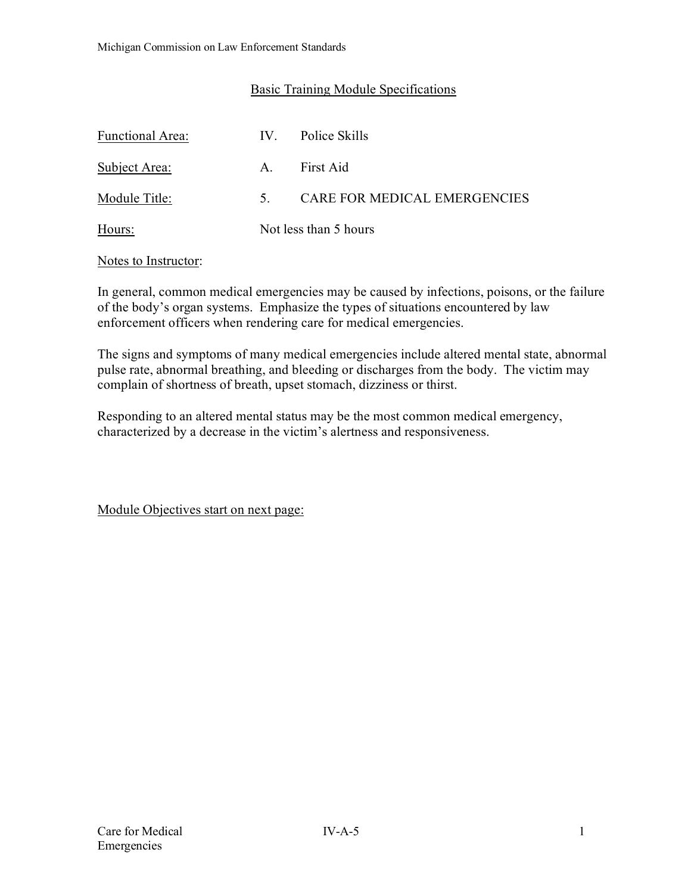## Basic Training Module Specifications

| Functional Area: | $IV_{\odot}$          | Police Skills                |
|------------------|-----------------------|------------------------------|
| Subject Area:    | $A_{\cdot}$           | First Aid                    |
| Module Title:    | 5.                    | CARE FOR MEDICAL EMERGENCIES |
| Hours:           | Not less than 5 hours |                              |

### Notes to Instructor:

In general, common medical emergencies may be caused by infections, poisons, or the failure of the body's organ systems. Emphasize the types of situations encountered by law enforcement officers when rendering care for medical emergencies.

The signs and symptoms of many medical emergencies include altered mental state, abnormal pulse rate, abnormal breathing, and bleeding or discharges from the body. The victim may complain of shortness of breath, upset stomach, dizziness or thirst.

Responding to an altered mental status may be the most common medical emergency, characterized by a decrease in the victim's alertness and responsiveness.

Module Objectives start on next page: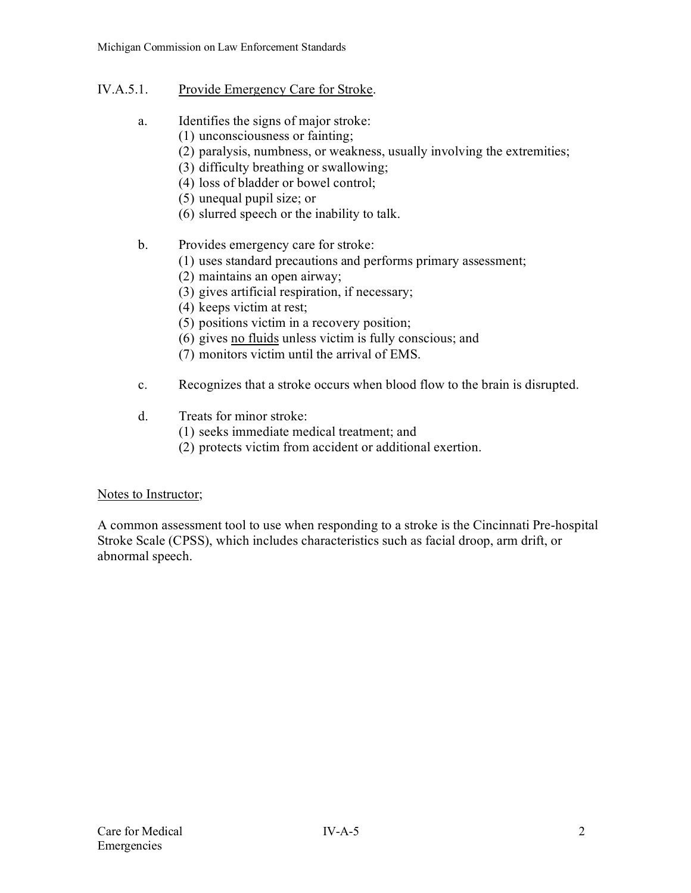## IV.A.5.1. Provide Emergency Care for Stroke.

- a. Identifies the signs of major stroke:
	- (1) unconsciousness or fainting;
	- (2) paralysis, numbness, or weakness, usually involving the extremities;
	- (3) difficulty breathing or swallowing;
	- (4) loss of bladder or bowel control;
	- (5) unequal pupil size; or
	- (6) slurred speech or the inability to talk.
- b. Provides emergency care for stroke:
	- (1) uses standard precautions and performs primary assessment;
	- (2) maintains an open airway;
	- (3) gives artificial respiration, if necessary;
	- (4) keeps victim at rest;
	- (5) positions victim in a recovery position;
	- (6) gives no fluids unless victim is fully conscious; and
	- (7) monitors victim until the arrival of EMS.
- c. Recognizes that a stroke occurs when blood flow to the brain is disrupted.
- d. Treats for minor stroke:
	- (1) seeks immediate medical treatment; and
	- (2) protects victim from accident or additional exertion.

## Notes to Instructor;

A common assessment tool to use when responding to a stroke is the Cincinnati Pre-hospital Stroke Scale (CPSS), which includes characteristics such as facial droop, arm drift, or abnormal speech.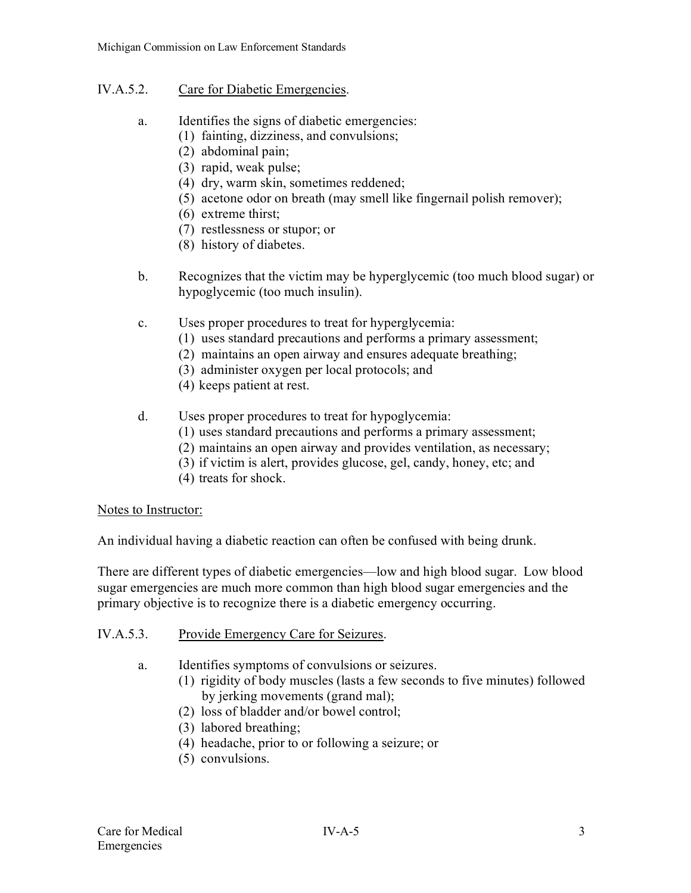## IV.A.5.2. Care for Diabetic Emergencies.

- a. Identifies the signs of diabetic emergencies:
	- (1) fainting, dizziness, and convulsions;
	- (2) abdominal pain;
	- (3) rapid, weak pulse;
	- (4) dry, warm skin, sometimes reddened;
	- (5) acetone odor on breath (may smell like fingernail polish remover);
	- (6) extreme thirst;
	- (7) restlessness or stupor; or
	- (8) history of diabetes.
- b. Recognizes that the victim may be hyperglycemic (too much blood sugar) or hypoglycemic (too much insulin).
- c. Uses proper procedures to treat for hyperglycemia:
	- (1) uses standard precautions and performs a primary assessment;
	- (2) maintains an open airway and ensures adequate breathing;
	- (3) administer oxygen per local protocols; and
	- (4) keeps patient at rest.
- d. Uses proper procedures to treat for hypoglycemia:
	- (1) uses standard precautions and performs a primary assessment;
	- (2) maintains an open airway and provides ventilation, as necessary;
	- (3) if victim is alert, provides glucose, gel, candy, honey, etc; and
	- (4) treats for shock.

#### Notes to Instructor:

An individual having a diabetic reaction can often be confused with being drunk.

There are different types of diabetic emergencies—low and high blood sugar. Low blood sugar emergencies are much more common than high blood sugar emergencies and the primary objective is to recognize there is a diabetic emergency occurring.

- IV.A.5.3. Provide Emergency Care for Seizures.
	- a. Identifies symptoms of convulsions or seizures.
		- (1) rigidity of body muscles (lasts a few seconds to five minutes) followed by jerking movements (grand mal);
		- (2) loss of bladder and/or bowel control;
		- (3) labored breathing;
		- (4) headache, prior to or following a seizure; or
		- (5) convulsions.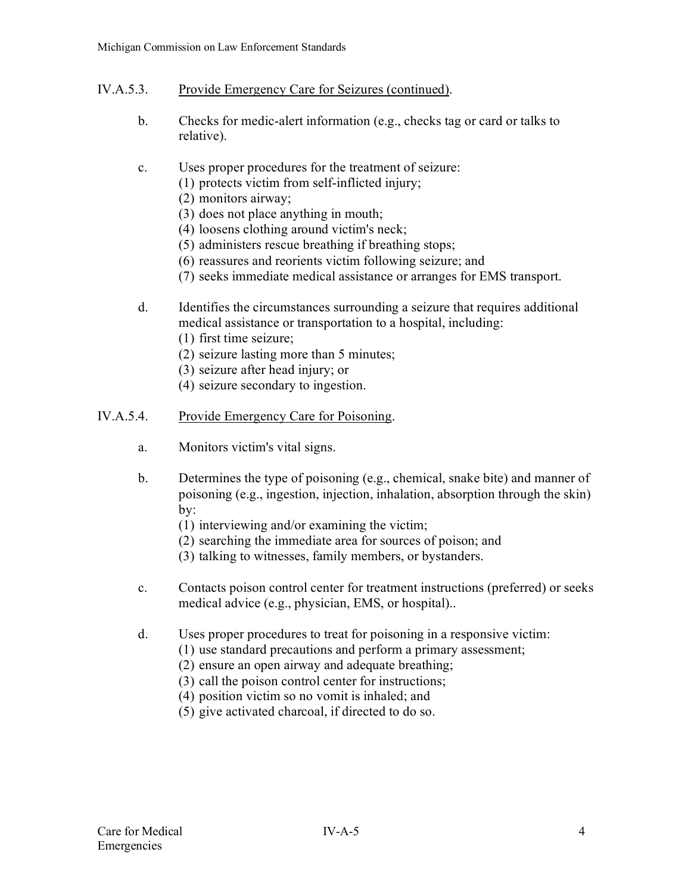- IV.A.5.3. Provide Emergency Care for Seizures (continued).
	- b. Checks for medic-alert information (e.g., checks tag or card or talks to relative).

# c. Uses proper procedures for the treatment of seizure:

- (1) protects victim from self-inflicted injury;
- (2) monitors airway;
- (3) does not place anything in mouth;
- (4) loosens clothing around victim's neck;
- (5) administers rescue breathing if breathing stops;
- (6) reassures and reorients victim following seizure; and
- (7) seeks immediate medical assistance or arranges for EMS transport.
- d. Identifies the circumstances surrounding a seizure that requires additional medical assistance or transportation to a hospital, including:
	- (1) first time seizure;
	- (2) seizure lasting more than 5 minutes;
	- (3) seizure after head injury; or
	- (4) seizure secondary to ingestion.

### IV.A.5.4. Provide Emergency Care for Poisoning.

- a. Monitors victim's vital signs.
- b. Determines the type of poisoning (e.g., chemical, snake bite) and manner of poisoning (e.g., ingestion, injection, inhalation, absorption through the skin) by:
	- (1) interviewing and/or examining the victim;
	- (2) searching the immediate area for sources of poison; and
	- (3) talking to witnesses, family members, or bystanders.
- c. Contacts poison control center for treatment instructions (preferred) or seeks medical advice (e.g., physician, EMS, or hospital)..
- d. Uses proper procedures to treat for poisoning in a responsive victim:
	- (1) use standard precautions and perform a primary assessment;
	- (2) ensure an open airway and adequate breathing;
	- (3) call the poison control center for instructions;
	- (4) position victim so no vomit is inhaled; and
	- (5) give activated charcoal, if directed to do so.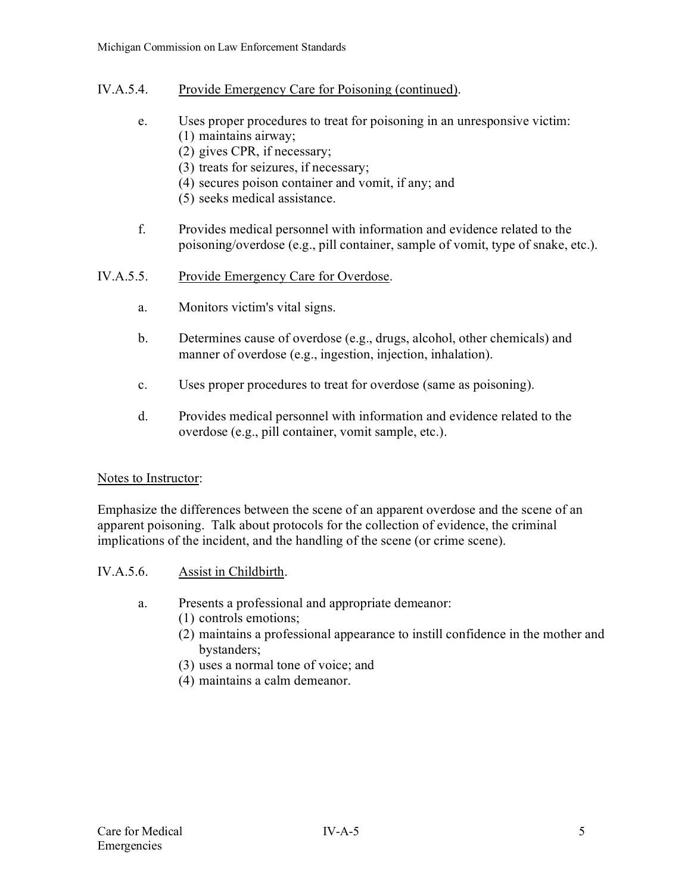- IV.A.5.4. Provide Emergency Care for Poisoning (continued).
	- e. Uses proper procedures to treat for poisoning in an unresponsive victim: (1) maintains airway;
		- (2) gives CPR, if necessary;
		- (3) treats for seizures, if necessary;
		- (4) secures poison container and vomit, if any; and
		- (5) seeks medical assistance.
	- f. Provides medical personnel with information and evidence related to the poisoning/overdose (e.g., pill container, sample of vomit, type of snake, etc.).
- IV.A.5.5. Provide Emergency Care for Overdose.
	- a. Monitors victim's vital signs.
	- b. Determines cause of overdose (e.g., drugs, alcohol, other chemicals) and manner of overdose (e.g., ingestion, injection, inhalation).
	- c. Uses proper procedures to treat for overdose (same as poisoning).
	- d. Provides medical personnel with information and evidence related to the overdose (e.g., pill container, vomit sample, etc.).

#### Notes to Instructor:

Emphasize the differences between the scene of an apparent overdose and the scene of an apparent poisoning. Talk about protocols for the collection of evidence, the criminal implications of the incident, and the handling of the scene (or crime scene).

- IV.A.5.6. Assist in Childbirth.
	- a. Presents a professional and appropriate demeanor:
		- (1) controls emotions;
		- (2) maintains a professional appearance to instill confidence in the mother and bystanders;
		- (3) uses a normal tone of voice; and
		- (4) maintains a calm demeanor.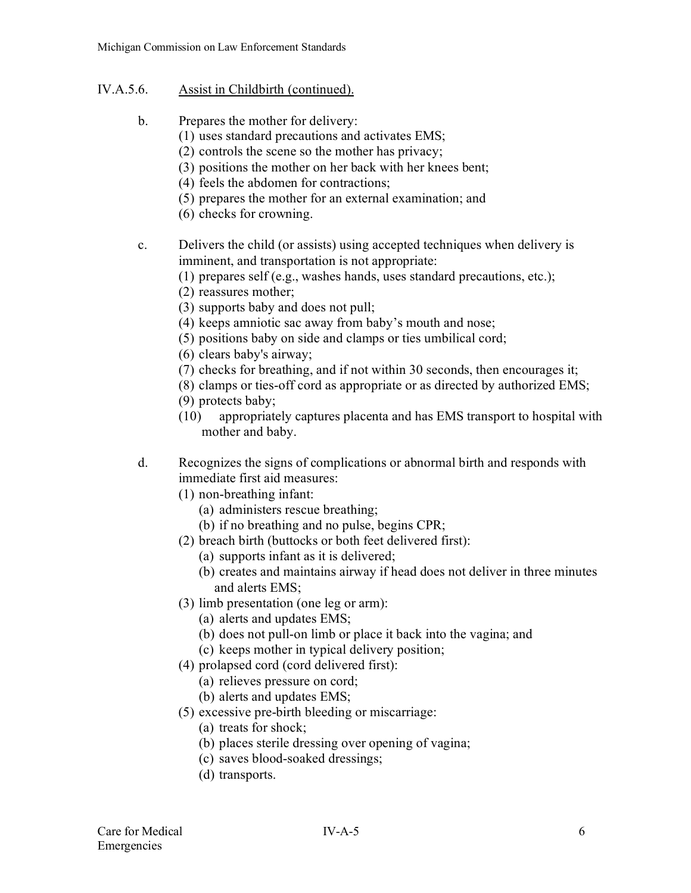## IV.A.5.6. Assist in Childbirth (continued).

- b. Prepares the mother for delivery:
	- (1) uses standard precautions and activates EMS;
	- (2) controls the scene so the mother has privacy;
	- (3) positions the mother on her back with her knees bent;
	- (4) feels the abdomen for contractions;
	- (5) prepares the mother for an external examination; and
	- (6) checks for crowning.
- c. Delivers the child (or assists) using accepted techniques when delivery is imminent, and transportation is not appropriate:
	- (1) prepares self (e.g., washes hands, uses standard precautions, etc.);
	- (2) reassures mother;
	- (3) supports baby and does not pull;
	- (4) keeps amniotic sac away from baby's mouth and nose;
	- (5) positions baby on side and clamps or ties umbilical cord;
	- (6) clears baby's airway;
	- (7) checks for breathing, and if not within 30 seconds, then encourages it;
	- (8) clamps or ties-off cord as appropriate or as directed by authorized EMS;
	- (9) protects baby;
	- (10) appropriately captures placenta and has EMS transport to hospital with mother and baby.
- d. Recognizes the signs of complications or abnormal birth and responds with immediate first aid measures:
	- (1) non-breathing infant:
		- (a) administers rescue breathing;
		- (b) if no breathing and no pulse, begins CPR;
	- (2) breach birth (buttocks or both feet delivered first):
		- (a) supports infant as it is delivered;
		- (b) creates and maintains airway if head does not deliver in three minutes and alerts EMS;
	- (3) limb presentation (one leg or arm):
		- (a) alerts and updates EMS;
		- (b) does not pull-on limb or place it back into the vagina; and
		- (c) keeps mother in typical delivery position;
	- (4) prolapsed cord (cord delivered first):
		- (a) relieves pressure on cord;
		- (b) alerts and updates EMS;
	- (5) excessive pre-birth bleeding or miscarriage:
		- (a) treats for shock;
		- (b) places sterile dressing over opening of vagina;
		- (c) saves blood-soaked dressings;
		- (d) transports.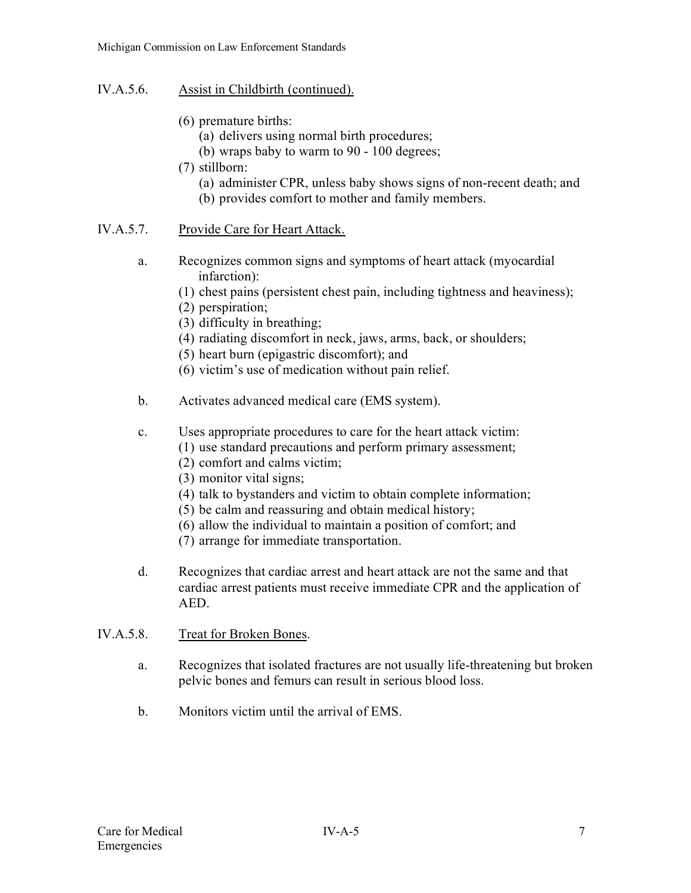- IV.A.5.6. Assist in Childbirth (continued).
	- (6) premature births:
		- (a) delivers using normal birth procedures;
		- (b) wraps baby to warm to 90 100 degrees;
	- (7) stillborn:
		- (a) administer CPR, unless baby shows signs of non-recent death; and
		- (b) provides comfort to mother and family members.

# IV.A.5.7. Provide Care for Heart Attack.

- a. Recognizes common signs and symptoms of heart attack (myocardial infarction):
	- (1) chest pains (persistent chest pain, including tightness and heaviness);
	- (2) perspiration;
	- (3) difficulty in breathing;
	- (4) radiating discomfort in neck, jaws, arms, back, or shoulders;
	- (5) heart burn (epigastric discomfort); and
	- (6) victim's use of medication without pain relief.
- b. Activates advanced medical care (EMS system).
- c. Uses appropriate procedures to care for the heart attack victim:
	- (1) use standard precautions and perform primary assessment;
	- (2) comfort and calms victim;
	- (3) monitor vital signs;
	- (4) talk to bystanders and victim to obtain complete information;
	- (5) be calm and reassuring and obtain medical history;
	- (6) allow the individual to maintain a position of comfort; and
	- (7) arrange for immediate transportation.
- d. Recognizes that cardiac arrest and heart attack are not the same and that cardiac arrest patients must receive immediate CPR and the application of AED.
- IV.A.5.8. Treat for Broken Bones.
	- a. Recognizes that isolated fractures are not usually life-threatening but broken pelvic bones and femurs can result in serious blood loss.
	- b. Monitors victim until the arrival of EMS.